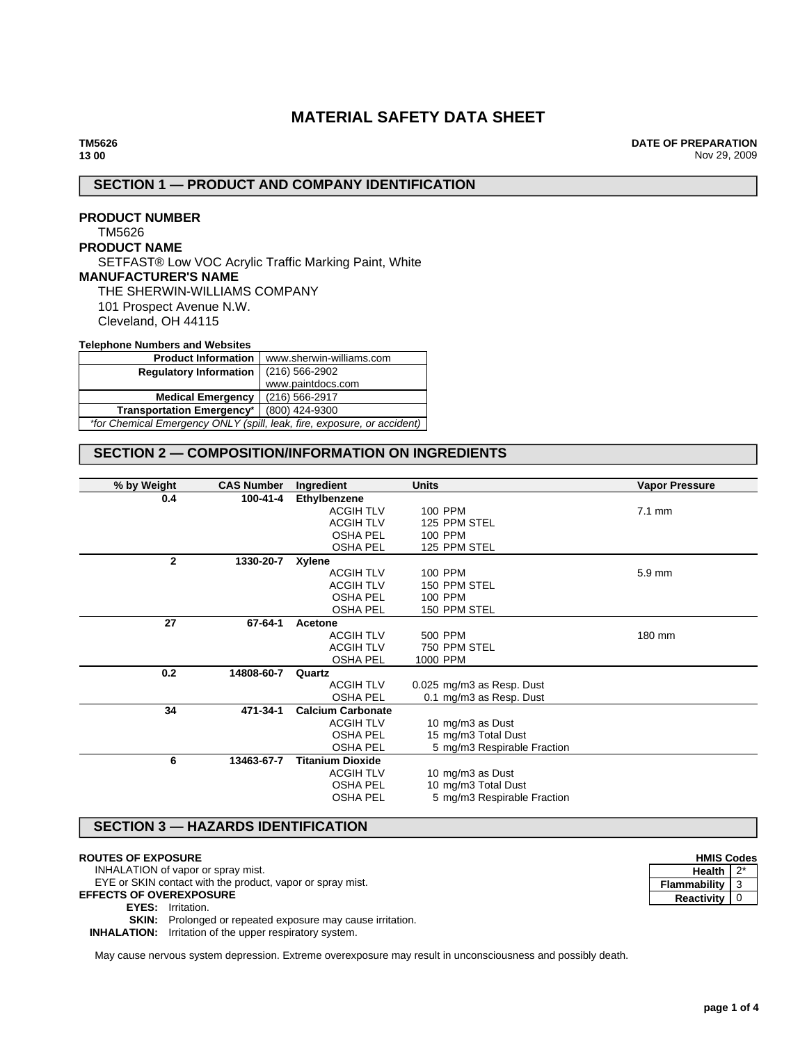# **MATERIAL SAFETY DATA SHEET**

**DATE OF PREPARATION** Nov 29, 2009

# **SECTION 1 — PRODUCT AND COMPANY IDENTIFICATION**

**PRODUCT NUMBER** TM5626 **PRODUCT NAME** SETFAST® Low VOC Acrylic Traffic Marking Paint, White **MANUFACTURER'S NAME** THE SHERWIN-WILLIAMS COMPANY 101 Prospect Avenue N.W. Cleveland, OH 44115

**Telephone Numbers and Websites**

| <b>Product Information</b>                                              | www.sherwin-williams.com |  |
|-------------------------------------------------------------------------|--------------------------|--|
| <b>Requlatory Information</b>                                           | $(216)$ 566-2902         |  |
|                                                                         | www.paintdocs.com        |  |
| (216) 566-2917<br><b>Medical Emergency</b>                              |                          |  |
| (800) 424-9300<br><b>Transportation Emergency*</b>                      |                          |  |
| *for Chemical Emergency ONLY (spill, leak, fire, exposure, or accident) |                          |  |

# **SECTION 2 — COMPOSITION/INFORMATION ON INGREDIENTS**

| % by Weight  | <b>CAS Number</b> | Ingredient               | <b>Units</b>                | <b>Vapor Pressure</b> |
|--------------|-------------------|--------------------------|-----------------------------|-----------------------|
| 0.4          | 100-41-4          | Ethylbenzene             |                             |                       |
|              |                   | <b>ACGIH TLV</b>         | 100 PPM                     | $7.1 \text{ mm}$      |
|              |                   | <b>ACGIH TLV</b>         | 125 PPM STEL                |                       |
|              |                   | <b>OSHA PEL</b>          | 100 PPM                     |                       |
|              |                   | <b>OSHA PEL</b>          | 125 PPM STEL                |                       |
| $\mathbf{2}$ | 1330-20-7         | <b>Xylene</b>            |                             |                       |
|              |                   | <b>ACGIH TLV</b>         | 100 PPM                     | 5.9 mm                |
|              |                   | <b>ACGIH TLV</b>         | 150 PPM STEL                |                       |
|              |                   | <b>OSHA PEL</b>          | 100 PPM                     |                       |
|              |                   | <b>OSHA PEL</b>          | 150 PPM STEL                |                       |
| 27           | 67-64-1           | Acetone                  |                             |                       |
|              |                   | <b>ACGIH TLV</b>         | 500 PPM                     | 180 mm                |
|              |                   | <b>ACGIH TLV</b>         | 750 PPM STEL                |                       |
|              |                   | <b>OSHA PEL</b>          | 1000 PPM                    |                       |
| 0.2          | 14808-60-7        | Quartz                   |                             |                       |
|              |                   | <b>ACGIH TLV</b>         | 0.025 mg/m3 as Resp. Dust   |                       |
|              |                   | <b>OSHA PEL</b>          | 0.1 mg/m3 as Resp. Dust     |                       |
| 34           | 471-34-1          | <b>Calcium Carbonate</b> |                             |                       |
|              |                   | <b>ACGIH TLV</b>         | 10 mg/m3 as Dust            |                       |
|              |                   | <b>OSHA PEL</b>          | 15 mg/m3 Total Dust         |                       |
|              |                   | <b>OSHA PEL</b>          | 5 mg/m3 Respirable Fraction |                       |
| 6            | 13463-67-7        | <b>Titanium Dioxide</b>  |                             |                       |
|              |                   | <b>ACGIH TLV</b>         | 10 mg/m3 as Dust            |                       |
|              |                   | <b>OSHA PEL</b>          | 10 mg/m3 Total Dust         |                       |
|              |                   | <b>OSHA PEL</b>          | 5 mg/m3 Respirable Fraction |                       |
|              |                   |                          |                             |                       |

# **SECTION 3 — HAZARDS IDENTIFICATION**

#### **ROUTES OF EXPOSURE**

INHALATION of vapor or spray mist.

EYE or SKIN contact with the product, vapor or spray mist.

**EFFECTS OF OVEREXPOSURE**

### **EYES:** Irritation.

**SKIN:** Prolonged or repeated exposure may cause irritation.

**INHALATION:** Irritation of the upper respiratory system.

May cause nervous system depression. Extreme overexposure may result in unconsciousness and possibly death.

| <b>HMIS Codes</b>   |  |  |
|---------------------|--|--|
| Health              |  |  |
| <b>Flammability</b> |  |  |
| <b>Reactivity</b>   |  |  |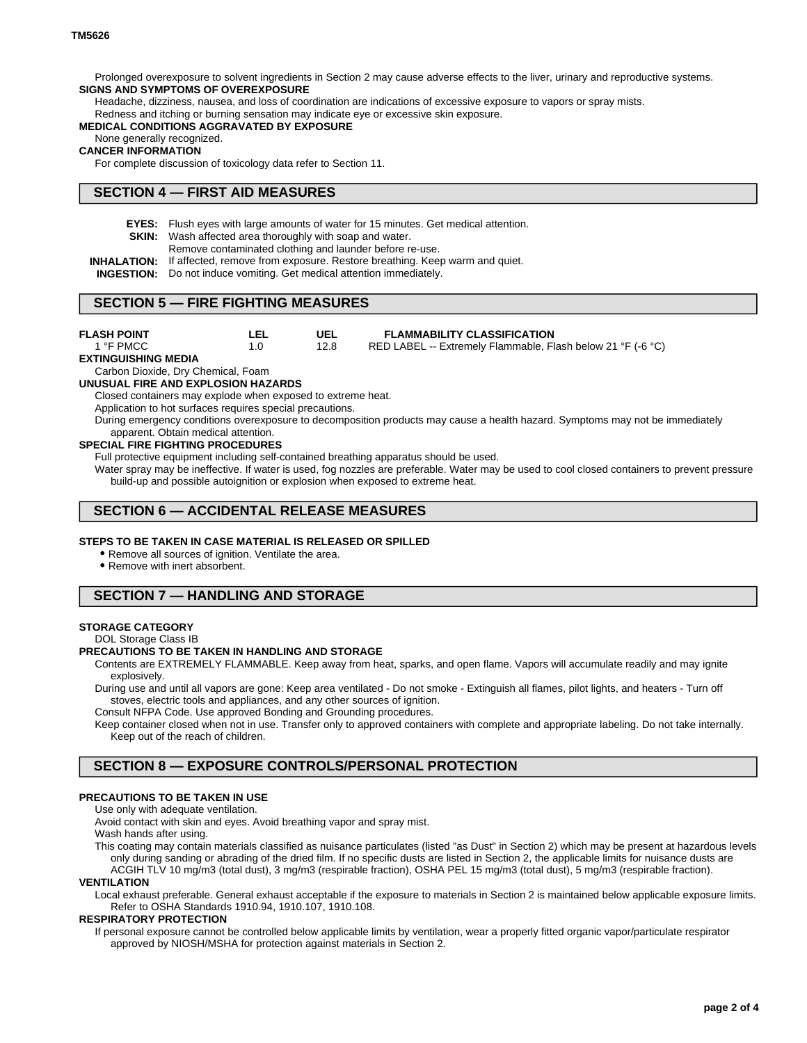Prolonged overexposure to solvent ingredients in Section 2 may cause adverse effects to the liver, urinary and reproductive systems. **SIGNS AND SYMPTOMS OF OVEREXPOSURE**

Headache, dizziness, nausea, and loss of coordination are indications of excessive exposure to vapors or spray mists.

Redness and itching or burning sensation may indicate eye or excessive skin exposure.

### **MEDICAL CONDITIONS AGGRAVATED BY EXPOSURE**

## None generally recognized.

## **CANCER INFORMATION**

For complete discussion of toxicology data refer to Section 11.

# **SECTION 4 — FIRST AID MEASURES**

**EYES:** Flush eyes with large amounts of water for 15 minutes. Get medical attention.

**SKIN:** Wash affected area thoroughly with soap and water.

- Remove contaminated clothing and launder before re-use.
- **INHALATION:** If affected, remove from exposure. Restore breathing. Keep warm and quiet.
- **INGESTION:** Do not induce vomiting. Get medical attention immediately.

## **SECTION 5 — FIRE FIGHTING MEASURES**

**UEL** 12.8 **LEL** 1.0 **FLASH POINT** 1 °F PMCC **FLAMMABILITY CLASSIFICATION** RED LABEL -- Extremely Flammable, Flash below 21 °F (-6 °C) **EXTINGUISHING MEDIA** Carbon Dioxide, Dry Chemical, Foam **UNUSUAL FIRE AND EXPLOSION HAZARDS** Closed containers may explode when exposed to extreme heat. Application to hot surfaces requires special precautions. During emergency conditions overexposure to decomposition products may cause a health hazard. Symptoms may not be immediately apparent. Obtain medical attention.

#### **SPECIAL FIRE FIGHTING PROCEDURES**

Full protective equipment including self-contained breathing apparatus should be used.

Water spray may be ineffective. If water is used, fog nozzles are preferable. Water may be used to cool closed containers to prevent pressure build-up and possible autoignition or explosion when exposed to extreme heat.

# **SECTION 6 — ACCIDENTAL RELEASE MEASURES**

#### **STEPS TO BE TAKEN IN CASE MATERIAL IS RELEASED OR SPILLED**

• Remove all sources of ignition. Ventilate the area.

Remove with inert absorbent.

# **SECTION 7 — HANDLING AND STORAGE**

#### **STORAGE CATEGORY**

DOL Storage Class IB

## **PRECAUTIONS TO BE TAKEN IN HANDLING AND STORAGE**

Contents are EXTREMELY FLAMMABLE. Keep away from heat, sparks, and open flame. Vapors will accumulate readily and may ignite explosively.

During use and until all vapors are gone: Keep area ventilated - Do not smoke - Extinguish all flames, pilot lights, and heaters - Turn off stoves, electric tools and appliances, and any other sources of ignition.

Consult NFPA Code. Use approved Bonding and Grounding procedures.

Keep container closed when not in use. Transfer only to approved containers with complete and appropriate labeling. Do not take internally. Keep out of the reach of children.

# **SECTION 8 — EXPOSURE CONTROLS/PERSONAL PROTECTION**

## **PRECAUTIONS TO BE TAKEN IN USE**

Use only with adequate ventilation.

Avoid contact with skin and eyes. Avoid breathing vapor and spray mist.

Wash hands after using.

This coating may contain materials classified as nuisance particulates (listed "as Dust" in Section 2) which may be present at hazardous levels only during sanding or abrading of the dried film. If no specific dusts are listed in Section 2, the applicable limits for nuisance dusts are ACGIH TLV 10 mg/m3 (total dust), 3 mg/m3 (respirable fraction), OSHA PEL 15 mg/m3 (total dust), 5 mg/m3 (respirable fraction).

#### **VENTILATION**

Local exhaust preferable. General exhaust acceptable if the exposure to materials in Section 2 is maintained below applicable exposure limits. Refer to OSHA Standards 1910.94, 1910.107, 1910.108.

#### **RESPIRATORY PROTECTION**

If personal exposure cannot be controlled below applicable limits by ventilation, wear a properly fitted organic vapor/particulate respirator approved by NIOSH/MSHA for protection against materials in Section 2.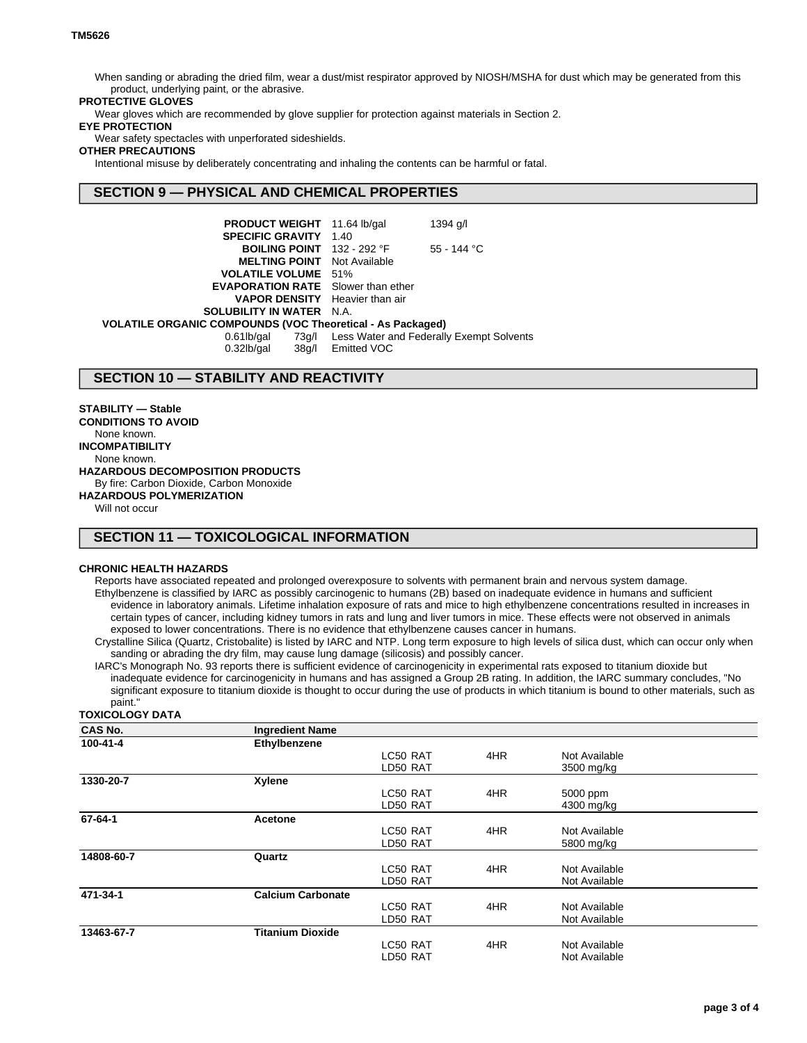When sanding or abrading the dried film, wear a dust/mist respirator approved by NIOSH/MSHA for dust which may be generated from this product, underlying paint, or the abrasive.

## **PROTECTIVE GLOVES**

Wear gloves which are recommended by glove supplier for protection against materials in Section 2.

## **EYE PROTECTION**

Wear safety spectacles with unperforated sideshields.

## **OTHER PRECAUTIONS**

Intentional misuse by deliberately concentrating and inhaling the contents can be harmful or fatal.

## **SECTION 9 — PHYSICAL AND CHEMICAL PROPERTIES**

| <b>PRODUCT WEIGHT</b> 11.64 lb/gal                                |                   | 1394 g/l                                       |  |  |
|-------------------------------------------------------------------|-------------------|------------------------------------------------|--|--|
| <b>SPECIFIC GRAVITY 1.40</b>                                      |                   |                                                |  |  |
| <b>BOILING POINT</b> $132 - 292$ °F                               |                   | $55 - 144$ °C                                  |  |  |
| <b>MELTING POINT</b> Not Available                                |                   |                                                |  |  |
| <b>VOLATILE VOLUME</b> 51%                                        |                   |                                                |  |  |
| <b>EVAPORATION RATE</b> Slower than ether                         |                   |                                                |  |  |
| <b>VAPOR DENSITY</b> Heavier than air                             |                   |                                                |  |  |
| <b>SOLUBILITY IN WATER N.A.</b>                                   |                   |                                                |  |  |
| <b>VOLATILE ORGANIC COMPOUNDS (VOC Theoretical - As Packaged)</b> |                   |                                                |  |  |
| $0.61$ lb/gal                                                     |                   | 73g/l Less Water and Federally Exempt Solvents |  |  |
| $0.32$ lb/gal                                                     | 38g/l Emitted VOC |                                                |  |  |

## **SECTION 10 — STABILITY AND REACTIVITY**

**STABILITY — Stable CONDITIONS TO AVOID** None known. **INCOMPATIBILITY** None known. **HAZARDOUS DECOMPOSITION PRODUCTS** By fire: Carbon Dioxide, Carbon Monoxide **HAZARDOUS POLYMERIZATION**

Will not occur

# **SECTION 11 — TOXICOLOGICAL INFORMATION**

#### **CHRONIC HEALTH HAZARDS**

Reports have associated repeated and prolonged overexposure to solvents with permanent brain and nervous system damage. Ethylbenzene is classified by IARC as possibly carcinogenic to humans (2B) based on inadequate evidence in humans and sufficient evidence in laboratory animals. Lifetime inhalation exposure of rats and mice to high ethylbenzene concentrations resulted in increases in certain types of cancer, including kidney tumors in rats and lung and liver tumors in mice. These effects were not observed in animals exposed to lower concentrations. There is no evidence that ethylbenzene causes cancer in humans.

Crystalline Silica (Quartz, Cristobalite) is listed by IARC and NTP. Long term exposure to high levels of silica dust, which can occur only when sanding or abrading the dry film, may cause lung damage (silicosis) and possibly cancer.

IARC's Monograph No. 93 reports there is sufficient evidence of carcinogenicity in experimental rats exposed to titanium dioxide but inadequate evidence for carcinogenicity in humans and has assigned a Group 2B rating. In addition, the IARC summary concludes, "No significant exposure to titanium dioxide is thought to occur during the use of products in which titanium is bound to other materials, such as paint."

### **TOXICOLOGY DATA**

| <b>CAS No.</b> | <b>Ingredient Name</b>   |          |     |               |  |
|----------------|--------------------------|----------|-----|---------------|--|
| 100-41-4       | Ethylbenzene             |          |     |               |  |
|                |                          | LC50 RAT | 4HR | Not Available |  |
|                |                          | LD50 RAT |     | 3500 mg/kg    |  |
| 1330-20-7      | Xylene                   |          |     |               |  |
|                |                          | LC50 RAT | 4HR | 5000 ppm      |  |
|                |                          | LD50 RAT |     | 4300 mg/kg    |  |
| 67-64-1        | Acetone                  |          |     |               |  |
|                |                          | LC50 RAT | 4HR | Not Available |  |
|                |                          | LD50 RAT |     | 5800 mg/kg    |  |
| 14808-60-7     | Quartz                   |          |     |               |  |
|                |                          | LC50 RAT | 4HR | Not Available |  |
|                |                          | LD50 RAT |     | Not Available |  |
| 471-34-1       | <b>Calcium Carbonate</b> |          |     |               |  |
|                |                          | LC50 RAT | 4HR | Not Available |  |
|                |                          | LD50 RAT |     | Not Available |  |
| 13463-67-7     | <b>Titanium Dioxide</b>  |          |     |               |  |
|                |                          | LC50 RAT | 4HR | Not Available |  |
|                |                          | LD50 RAT |     | Not Available |  |